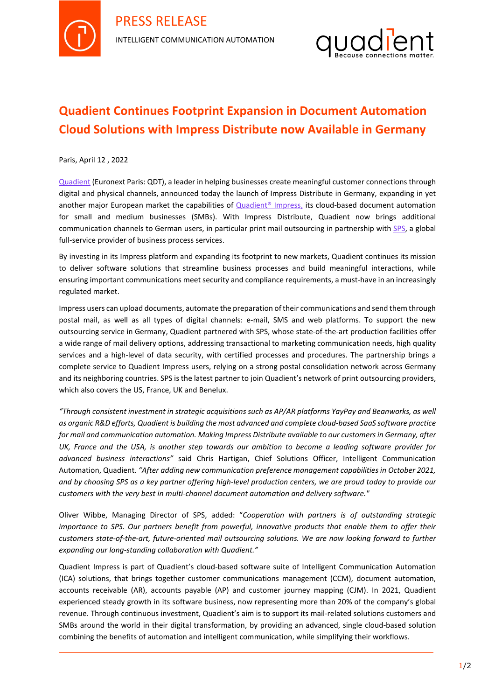



## **Quadient Continues Footprint Expansion in Document Automation Cloud Solutions with Impress Distribute now Available in Germany**

Paris, April 12 , 2022

[Quadient](http://www.quadient.com/) (Euronext Paris: QDT), a leader in helping businesses create meaningful customer connections through digital and physical channels, announced today the launch of Impress Distribute in Germany, expanding in yet another major European market the capabilities of [Quadient®](https://www.quadient.com/intelligent-communication/customer-communications/impress-platform) Impress, its cloud-based document automation for small and medium businesses (SMBs). With Impress Distribute, Quadient now brings additional communication channels to German users, in particular print mail outsourcing in partnership with [SPS,](http://www.swisspostsolutions.com/) a global full-service provider of business process services.

By investing in its Impress platform and expanding its footprint to new markets, Quadient continues its mission to deliver software solutions that streamline business processes and build meaningful interactions, while ensuring important communications meet security and compliance requirements, a must-have in an increasingly regulated market.

Impress users can upload documents, automate the preparation of their communications and send them through postal mail, as well as all types of digital channels: e-mail, SMS and web platforms. To support the new outsourcing service in Germany, Quadient partnered with SPS, whose state-of-the-art production facilities offer a wide range of mail delivery options, addressing transactional to marketing communication needs, high quality services and a high-level of data security, with certified processes and procedures. The partnership brings a complete service to Quadient Impress users, relying on a strong postal consolidation network across Germany and its neighboring countries. SPS is the latest partner to join Quadient's network of print outsourcing providers, which also covers the US, France, UK and Benelux.

*"Through consistent investment in strategic acquisitions such as AP/AR platforms YayPay and Beanworks, as well as organic R&D efforts, Quadient is building the most advanced and complete cloud-based SaaS software practice for mail and communication automation. Making Impress Distribute available to our customers in Germany, after UK, France and the USA, is another step towards our ambition to become a leading software provider for advanced business interactions"* said Chris Hartigan, Chief Solutions Officer, Intelligent Communication Automation, Quadient. *"After adding new communication preference management capabilities in October 2021, and by choosing SPS as a key partner offering high-level production centers, we are proud today to provide our customers with the very best in multi-channel document automation and delivery software."*

Oliver Wibbe, Managing Director of SPS, added: "*Cooperation with partners is of outstanding strategic importance to SPS. Our partners benefit from powerful, innovative products that enable them to offer their customers state-of-the-art, future-oriented mail outsourcing solutions. We are now looking forward to further expanding our long-standing collaboration with Quadient."*

Quadient Impress is part of Quadient's cloud-based software suite of Intelligent Communication Automation (ICA) solutions, that brings together customer communications management (CCM), document automation, accounts receivable (AR), accounts payable (AP) and customer journey mapping (CJM). In 2021, Quadient experienced steady growth in its software business, now representing more than 20% of the company's global revenue. Through continuous investment, Quadient's aim is to support its mail-related solutions customers and SMBs around the world in their digital transformation, by providing an advanced, single cloud-based solution combining the benefits of automation and intelligent communication, while simplifying their workflows.